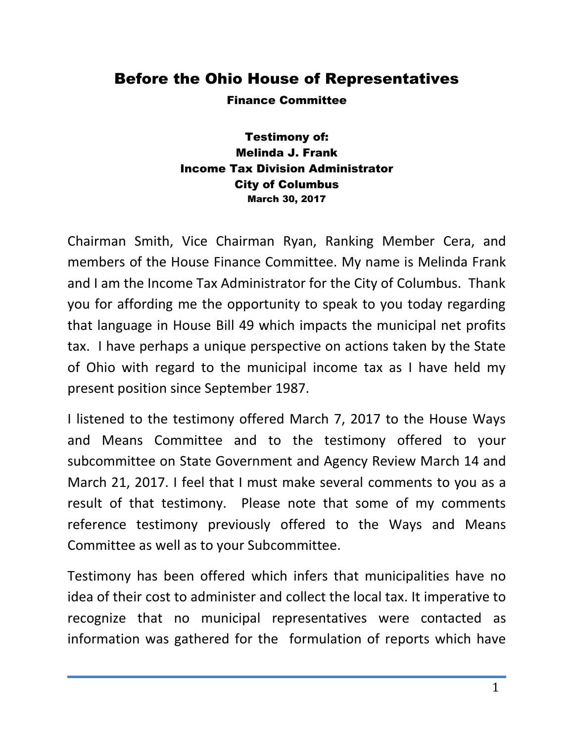## Before the Ohio House of Representatives

Finance Committee

Testimony of: Melinda J. Frank Income Tax Division Administrator City of Columbus March 30, 2017

Chairman Smith, Vice Chairman Ryan, Ranking Member Cera, and members of the House Finance Committee. My name is Melinda Frank and I am the Income Tax Administrator for the City of Columbus. Thank you for affording me the opportunity to speak to you today regarding that language in House Bill 49 which impacts the municipal net profits tax. I have perhaps a unique perspective on actions taken by the State of Ohio with regard to the municipal income tax as I have held my present position since September 1987.

I listened to the testimony offered March 7, 2017 to the House Ways and Means Committee and to the testimony offered to your subcommittee on State Government and Agency Review March 14 and March 21, 2017. I feel that I must make several comments to you as a result of that testimony. Please note that some of my comments reference testimony previously offered to the Ways and Means Committee as well as to your Subcommittee.

Testimony has been offered which infers that municipalities have no idea of their cost to administer and collect the local tax. It imperative to recognize that no municipal representatives were contacted as information was gathered for the formulation of reports which have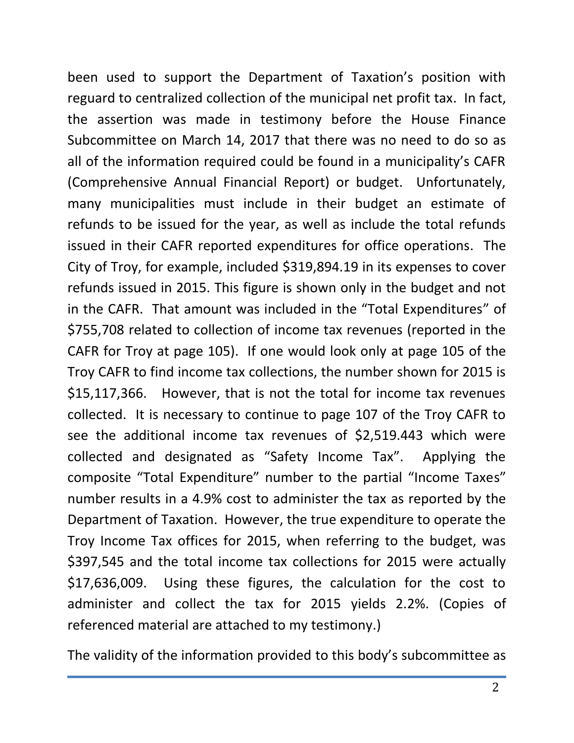been used to support the Department of Taxation's position with reguard to centralized collection of the municipal net profit tax. In fact, the assertion was made in testimony before the House Finance Subcommittee on March 14, 2017 that there was no need to do so as all of the information required could be found in a municipality's CAFR (Comprehensive Annual Financial Report) or budget. Unfortunately, many municipalities must include in their budget an estimate of refunds to be issued for the year, as well as include the total refunds issued in their CAFR reported expenditures for office operations. The City of Troy, for example, included \$319,894.19 in its expenses to cover refunds issued in 2015. This figure is shown only in the budget and not in the CAFR. That amount was included in the "Total Expenditures" of \$755,708 related to collection of income tax revenues (reported in the CAFR for Troy at page 105). If one would look only at page 105 of the Troy CAFR to find income tax collections, the number shown for 2015 is \$15,117,366. However, that is not the total for income tax revenues collected. It is necessary to continue to page 107 of the Troy CAFR to see the additional income tax revenues of \$2,519.443 which were collected and designated as "Safety Income Tax". Applying the composite "Total Expenditure" number to the partial "Income Taxes" number results in a 4.9% cost to administer the tax as reported by the Department of Taxation. However, the true expenditure to operate the Troy Income Tax offices for 2015, when referring to the budget, was \$397,545 and the total income tax collections for 2015 were actually \$17,636,009. Using these figures, the calculation for the cost to administer and collect the tax for 2015 yields 2.2%. (Copies of referenced material are attached to my testimony.)

The validity of the information provided to this body's subcommittee as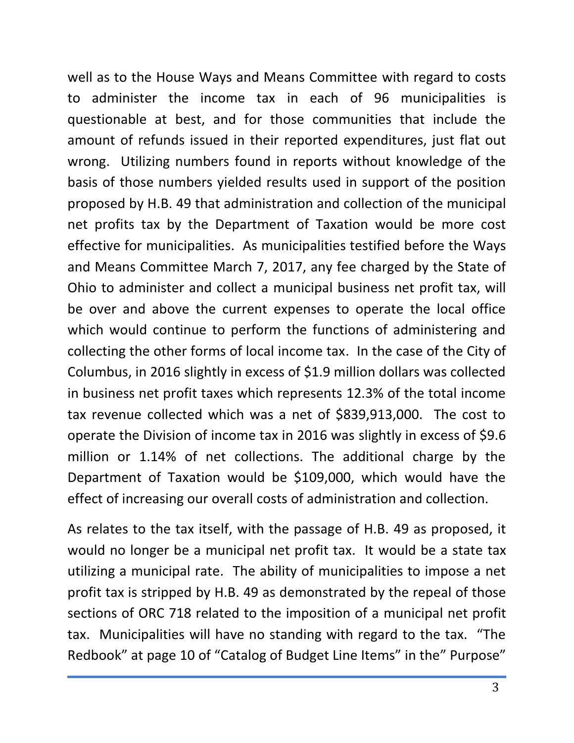well as to the House Ways and Means Committee with regard to costs to administer the income tax in each of 96 municipalities is questionable at best, and for those communities that include the amount of refunds issued in their reported expenditures, just flat out wrong. Utilizing numbers found in reports without knowledge of the basis of those numbers yielded results used in support of the position proposed by H.B. 49 that administration and collection of the municipal net profits tax by the Department of Taxation would be more cost effective for municipalities. As municipalities testified before the Ways and Means Committee March 7, 2017, any fee charged by the State of Ohio to administer and collect a municipal business net profit tax, will be over and above the current expenses to operate the local office which would continue to perform the functions of administering and collecting the other forms of local income tax. In the case of the City of Columbus, in 2016 slightly in excess of \$1.9 million dollars was collected in business net profit taxes which represents 12.3% of the total income tax revenue collected which was a net of \$839,913,000. The cost to operate the Division of income tax in 2016 was slightly in excess of \$9.6 million or 1.14% of net collections. The additional charge by the Department of Taxation would be \$109,000, which would have the effect of increasing our overall costs of administration and collection.

As relates to the tax itself, with the passage of H.B. 49 as proposed, it would no longer be a municipal net profit tax. It would be a state tax utilizing a municipal rate. The ability of municipalities to impose a net profit tax is stripped by H.B. 49 as demonstrated by the repeal of those sections of ORC 718 related to the imposition of a municipal net profit tax. Municipalities will have no standing with regard to the tax. "The Redbook" at page 10 of "Catalog of Budget Line Items" in the" Purpose"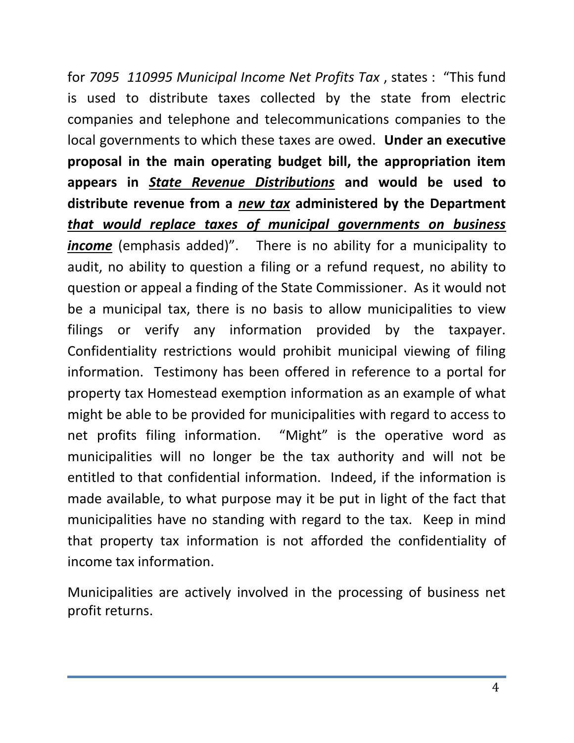for *7095 110995 Municipal Income Net Profits Tax* , states : "This fund is used to distribute taxes collected by the state from electric companies and telephone and telecommunications companies to the local governments to which these taxes are owed. **Under an executive proposal in the main operating budget bill, the appropriation item appears in** *State Revenue Distributions* **and would be used to distribute revenue from a** *new tax* **administered by the Department**  *that would replace taxes of municipal governments on business income* (emphasis added)". There is no ability for a municipality to audit, no ability to question a filing or a refund request, no ability to question or appeal a finding of the State Commissioner. As it would not be a municipal tax, there is no basis to allow municipalities to view filings or verify any information provided by the taxpayer. Confidentiality restrictions would prohibit municipal viewing of filing information. Testimony has been offered in reference to a portal for property tax Homestead exemption information as an example of what might be able to be provided for municipalities with regard to access to net profits filing information. "Might" is the operative word as municipalities will no longer be the tax authority and will not be entitled to that confidential information. Indeed, if the information is made available, to what purpose may it be put in light of the fact that municipalities have no standing with regard to the tax. Keep in mind that property tax information is not afforded the confidentiality of income tax information.

Municipalities are actively involved in the processing of business net profit returns.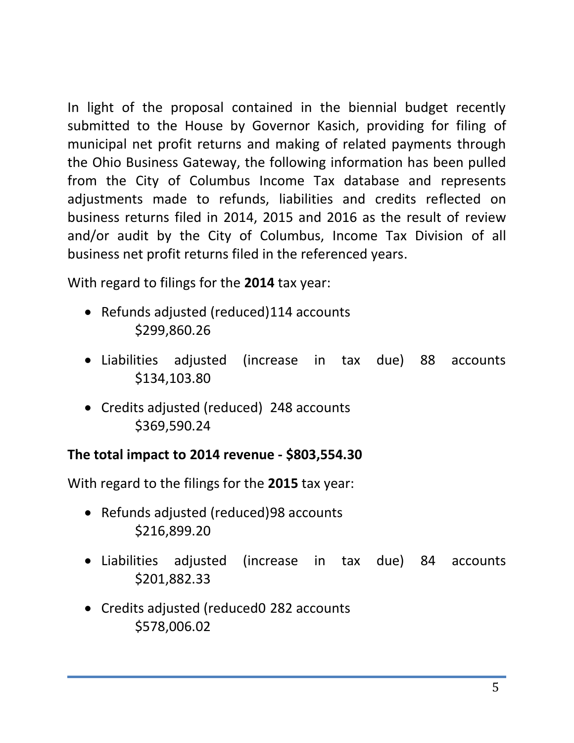In light of the proposal contained in the biennial budget recently submitted to the House by Governor Kasich, providing for filing of municipal net profit returns and making of related payments through the Ohio Business Gateway, the following information has been pulled from the City of Columbus Income Tax database and represents adjustments made to refunds, liabilities and credits reflected on business returns filed in 2014, 2015 and 2016 as the result of review and/or audit by the City of Columbus, Income Tax Division of all business net profit returns filed in the referenced years.

With regard to filings for the **2014** tax year:

- Refunds adjusted (reduced)114 accounts \$299,860.26
- Liabilities adjusted (increase in tax due) 88 accounts \$134,103.80
- Credits adjusted (reduced) 248 accounts \$369,590.24

## **The total impact to 2014 revenue - \$803,554.30**

With regard to the filings for the **2015** tax year:

- Refunds adjusted (reduced)98 accounts \$216,899.20
- Liabilities adjusted (increase in tax due) 84 accounts \$201,882.33
- Credits adjusted (reduced0 282 accounts \$578,006.02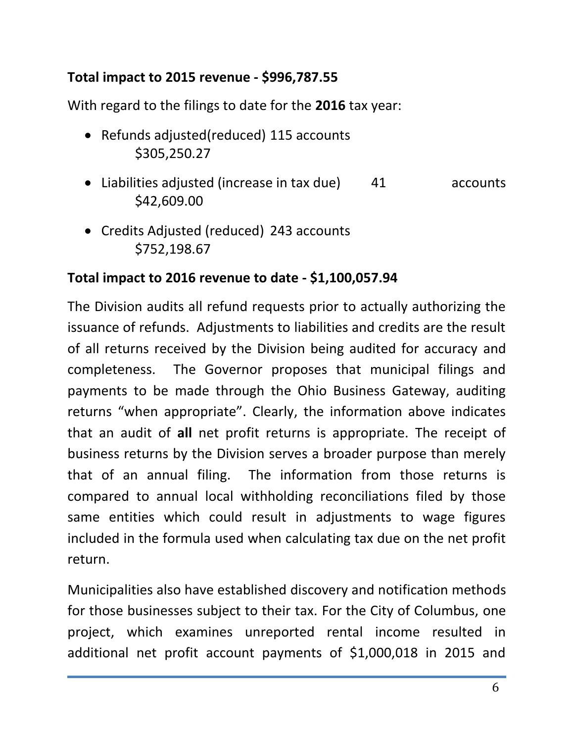## **Total impact to 2015 revenue - \$996,787.55**

With regard to the filings to date for the **2016** tax year:

- Refunds adjusted(reduced) 115 accounts \$305,250.27
- Liabilities adjusted (increase in tax due) 41 accounts \$42,609.00
- Credits Adjusted (reduced) 243 accounts \$752,198.67

## **Total impact to 2016 revenue to date - \$1,100,057.94**

The Division audits all refund requests prior to actually authorizing the issuance of refunds. Adjustments to liabilities and credits are the result of all returns received by the Division being audited for accuracy and completeness. The Governor proposes that municipal filings and payments to be made through the Ohio Business Gateway, auditing returns "when appropriate". Clearly, the information above indicates that an audit of **all** net profit returns is appropriate. The receipt of business returns by the Division serves a broader purpose than merely that of an annual filing. The information from those returns is compared to annual local withholding reconciliations filed by those same entities which could result in adjustments to wage figures included in the formula used when calculating tax due on the net profit return.

Municipalities also have established discovery and notification methods for those businesses subject to their tax. For the City of Columbus, one project, which examines unreported rental income resulted in additional net profit account payments of \$1,000,018 in 2015 and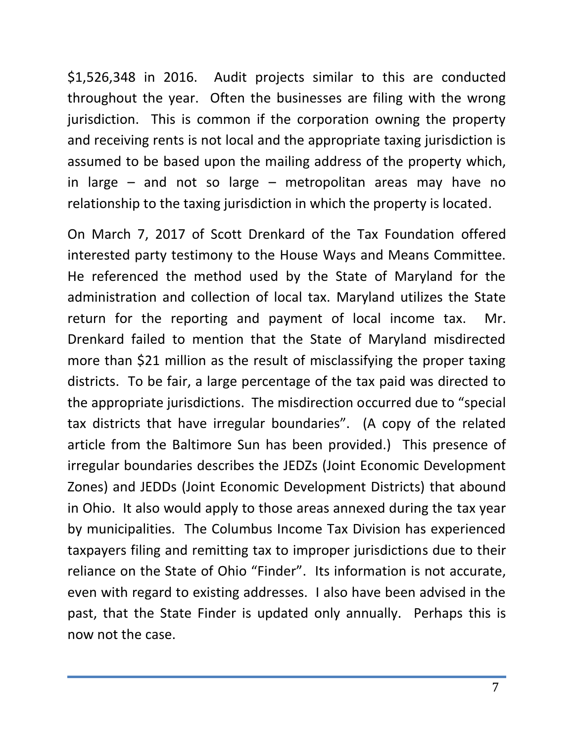\$1,526,348 in 2016. Audit projects similar to this are conducted throughout the year. Often the businesses are filing with the wrong jurisdiction. This is common if the corporation owning the property and receiving rents is not local and the appropriate taxing jurisdiction is assumed to be based upon the mailing address of the property which, in large – and not so large – metropolitan areas may have no relationship to the taxing jurisdiction in which the property is located.

On March 7, 2017 of Scott Drenkard of the Tax Foundation offered interested party testimony to the House Ways and Means Committee. He referenced the method used by the State of Maryland for the administration and collection of local tax. Maryland utilizes the State return for the reporting and payment of local income tax. Mr. Drenkard failed to mention that the State of Maryland misdirected more than \$21 million as the result of misclassifying the proper taxing districts. To be fair, a large percentage of the tax paid was directed to the appropriate jurisdictions. The misdirection occurred due to "special tax districts that have irregular boundaries". (A copy of the related article from the Baltimore Sun has been provided.) This presence of irregular boundaries describes the JEDZs (Joint Economic Development Zones) and JEDDs (Joint Economic Development Districts) that abound in Ohio. It also would apply to those areas annexed during the tax year by municipalities. The Columbus Income Tax Division has experienced taxpayers filing and remitting tax to improper jurisdictions due to their reliance on the State of Ohio "Finder". Its information is not accurate, even with regard to existing addresses. I also have been advised in the past, that the State Finder is updated only annually. Perhaps this is now not the case.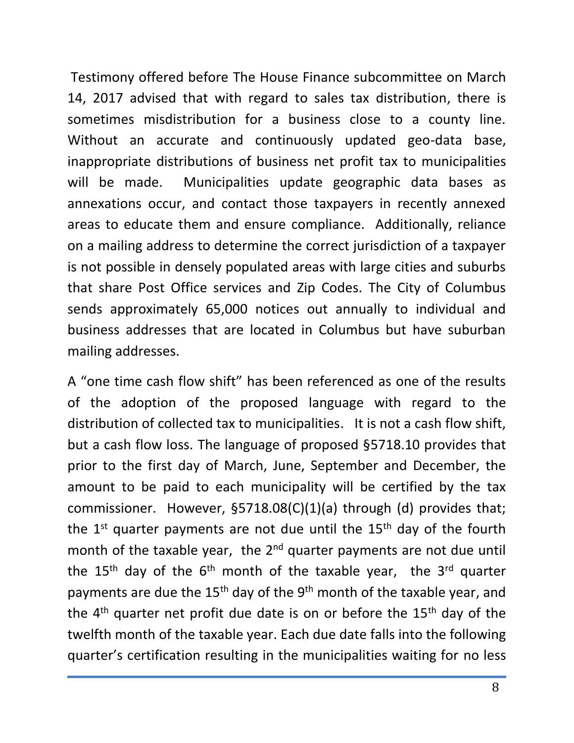Testimony offered before The House Finance subcommittee on March 14, 2017 advised that with regard to sales tax distribution, there is sometimes misdistribution for a business close to a county line. Without an accurate and continuously updated geo-data base, inappropriate distributions of business net profit tax to municipalities will be made. Municipalities update geographic data bases as annexations occur, and contact those taxpayers in recently annexed areas to educate them and ensure compliance. Additionally, reliance on a mailing address to determine the correct jurisdiction of a taxpayer is not possible in densely populated areas with large cities and suburbs that share Post Office services and Zip Codes. The City of Columbus sends approximately 65,000 notices out annually to individual and business addresses that are located in Columbus but have suburban mailing addresses.

A "one time cash flow shift" has been referenced as one of the results of the adoption of the proposed language with regard to the distribution of collected tax to municipalities. It is not a cash flow shift, but a cash flow loss. The language of proposed §5718.10 provides that prior to the first day of March, June, September and December, the amount to be paid to each municipality will be certified by the tax commissioner. However, §5718.08(C)(1)(a) through (d) provides that; the  $1<sup>st</sup>$  quarter payments are not due until the  $15<sup>th</sup>$  day of the fourth month of the taxable year, the 2<sup>nd</sup> quarter payments are not due until the 15<sup>th</sup> day of the  $6<sup>th</sup>$  month of the taxable year, the 3<sup>rd</sup> quarter payments are due the  $15<sup>th</sup>$  day of the  $9<sup>th</sup>$  month of the taxable year, and the  $4<sup>th</sup>$  quarter net profit due date is on or before the  $15<sup>th</sup>$  day of the twelfth month of the taxable year. Each due date falls into the following quarter's certification resulting in the municipalities waiting for no less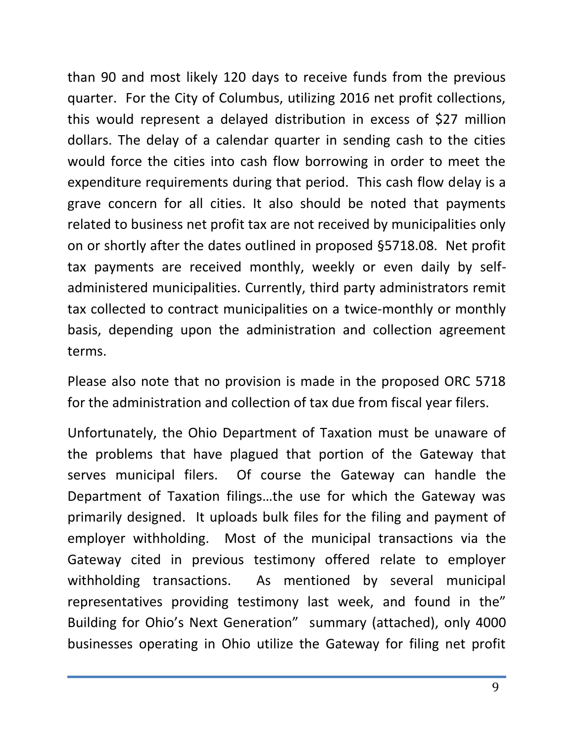than 90 and most likely 120 days to receive funds from the previous quarter. For the City of Columbus, utilizing 2016 net profit collections, this would represent a delayed distribution in excess of \$27 million dollars. The delay of a calendar quarter in sending cash to the cities would force the cities into cash flow borrowing in order to meet the expenditure requirements during that period. This cash flow delay is a grave concern for all cities. It also should be noted that payments related to business net profit tax are not received by municipalities only on or shortly after the dates outlined in proposed §5718.08. Net profit tax payments are received monthly, weekly or even daily by selfadministered municipalities. Currently, third party administrators remit tax collected to contract municipalities on a twice-monthly or monthly basis, depending upon the administration and collection agreement terms.

Please also note that no provision is made in the proposed ORC 5718 for the administration and collection of tax due from fiscal year filers.

Unfortunately, the Ohio Department of Taxation must be unaware of the problems that have plagued that portion of the Gateway that serves municipal filers. Of course the Gateway can handle the Department of Taxation filings…the use for which the Gateway was primarily designed. It uploads bulk files for the filing and payment of employer withholding. Most of the municipal transactions via the Gateway cited in previous testimony offered relate to employer withholding transactions. As mentioned by several municipal representatives providing testimony last week, and found in the" Building for Ohio's Next Generation" summary (attached), only 4000 businesses operating in Ohio utilize the Gateway for filing net profit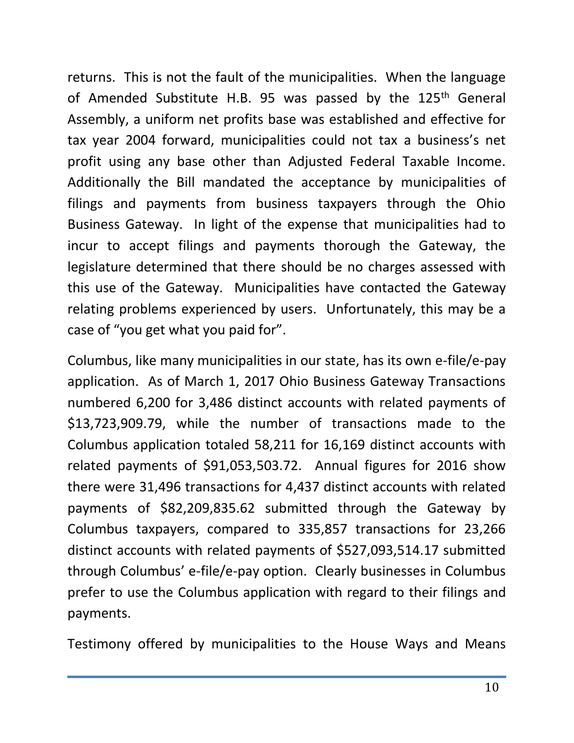returns. This is not the fault of the municipalities. When the language of Amended Substitute H.B. 95 was passed by the  $125<sup>th</sup>$  General Assembly, a uniform net profits base was established and effective for tax year 2004 forward, municipalities could not tax a business's net profit using any base other than Adjusted Federal Taxable Income. Additionally the Bill mandated the acceptance by municipalities of filings and payments from business taxpayers through the Ohio Business Gateway. In light of the expense that municipalities had to incur to accept filings and payments thorough the Gateway, the legislature determined that there should be no charges assessed with this use of the Gateway. Municipalities have contacted the Gateway relating problems experienced by users. Unfortunately, this may be a case of "you get what you paid for".

Columbus, like many municipalities in our state, has its own e-file/e-pay application. As of March 1, 2017 Ohio Business Gateway Transactions numbered 6,200 for 3,486 distinct accounts with related payments of \$13,723,909.79, while the number of transactions made to the Columbus application totaled 58,211 for 16,169 distinct accounts with related payments of \$91,053,503.72. Annual figures for 2016 show there were 31,496 transactions for 4,437 distinct accounts with related payments of \$82,209,835.62 submitted through the Gateway by Columbus taxpayers, compared to 335,857 transactions for 23,266 distinct accounts with related payments of \$527,093,514.17 submitted through Columbus' e-file/e-pay option. Clearly businesses in Columbus prefer to use the Columbus application with regard to their filings and payments.

Testimony offered by municipalities to the House Ways and Means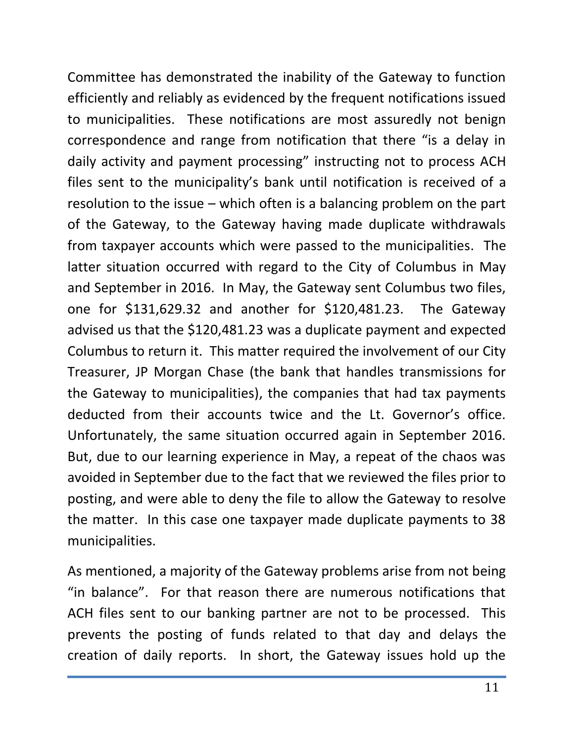Committee has demonstrated the inability of the Gateway to function efficiently and reliably as evidenced by the frequent notifications issued to municipalities. These notifications are most assuredly not benign correspondence and range from notification that there "is a delay in daily activity and payment processing" instructing not to process ACH files sent to the municipality's bank until notification is received of a resolution to the issue – which often is a balancing problem on the part of the Gateway, to the Gateway having made duplicate withdrawals from taxpayer accounts which were passed to the municipalities. The latter situation occurred with regard to the City of Columbus in May and September in 2016. In May, the Gateway sent Columbus two files, one for \$131,629.32 and another for \$120,481.23. The Gateway advised us that the \$120,481.23 was a duplicate payment and expected Columbus to return it. This matter required the involvement of our City Treasurer, JP Morgan Chase (the bank that handles transmissions for the Gateway to municipalities), the companies that had tax payments deducted from their accounts twice and the Lt. Governor's office. Unfortunately, the same situation occurred again in September 2016. But, due to our learning experience in May, a repeat of the chaos was avoided in September due to the fact that we reviewed the files prior to posting, and were able to deny the file to allow the Gateway to resolve the matter. In this case one taxpayer made duplicate payments to 38 municipalities.

As mentioned, a majority of the Gateway problems arise from not being "in balance". For that reason there are numerous notifications that ACH files sent to our banking partner are not to be processed. This prevents the posting of funds related to that day and delays the creation of daily reports. In short, the Gateway issues hold up the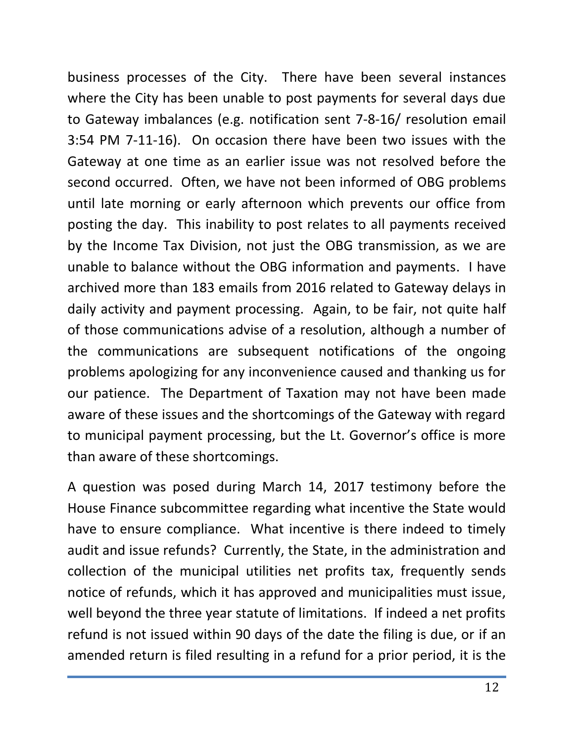business processes of the City. There have been several instances where the City has been unable to post payments for several days due to Gateway imbalances (e.g. notification sent 7-8-16/ resolution email 3:54 PM 7-11-16). On occasion there have been two issues with the Gateway at one time as an earlier issue was not resolved before the second occurred. Often, we have not been informed of OBG problems until late morning or early afternoon which prevents our office from posting the day. This inability to post relates to all payments received by the Income Tax Division, not just the OBG transmission, as we are unable to balance without the OBG information and payments. I have archived more than 183 emails from 2016 related to Gateway delays in daily activity and payment processing. Again, to be fair, not quite half of those communications advise of a resolution, although a number of the communications are subsequent notifications of the ongoing problems apologizing for any inconvenience caused and thanking us for our patience. The Department of Taxation may not have been made aware of these issues and the shortcomings of the Gateway with regard to municipal payment processing, but the Lt. Governor's office is more than aware of these shortcomings.

A question was posed during March 14, 2017 testimony before the House Finance subcommittee regarding what incentive the State would have to ensure compliance. What incentive is there indeed to timely audit and issue refunds? Currently, the State, in the administration and collection of the municipal utilities net profits tax, frequently sends notice of refunds, which it has approved and municipalities must issue, well beyond the three year statute of limitations. If indeed a net profits refund is not issued within 90 days of the date the filing is due, or if an amended return is filed resulting in a refund for a prior period, it is the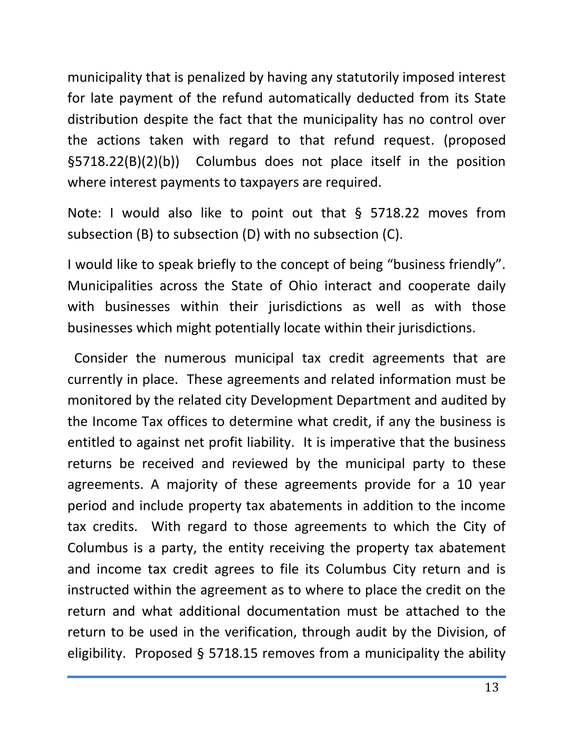municipality that is penalized by having any statutorily imposed interest for late payment of the refund automatically deducted from its State distribution despite the fact that the municipality has no control over the actions taken with regard to that refund request. (proposed §5718.22(B)(2)(b)) Columbus does not place itself in the position where interest payments to taxpayers are required.

Note: I would also like to point out that § 5718.22 moves from subsection (B) to subsection (D) with no subsection (C).

I would like to speak briefly to the concept of being "business friendly". Municipalities across the State of Ohio interact and cooperate daily with businesses within their jurisdictions as well as with those businesses which might potentially locate within their jurisdictions.

 Consider the numerous municipal tax credit agreements that are currently in place. These agreements and related information must be monitored by the related city Development Department and audited by the Income Tax offices to determine what credit, if any the business is entitled to against net profit liability. It is imperative that the business returns be received and reviewed by the municipal party to these agreements. A majority of these agreements provide for a 10 year period and include property tax abatements in addition to the income tax credits. With regard to those agreements to which the City of Columbus is a party, the entity receiving the property tax abatement and income tax credit agrees to file its Columbus City return and is instructed within the agreement as to where to place the credit on the return and what additional documentation must be attached to the return to be used in the verification, through audit by the Division, of eligibility. Proposed § 5718.15 removes from a municipality the ability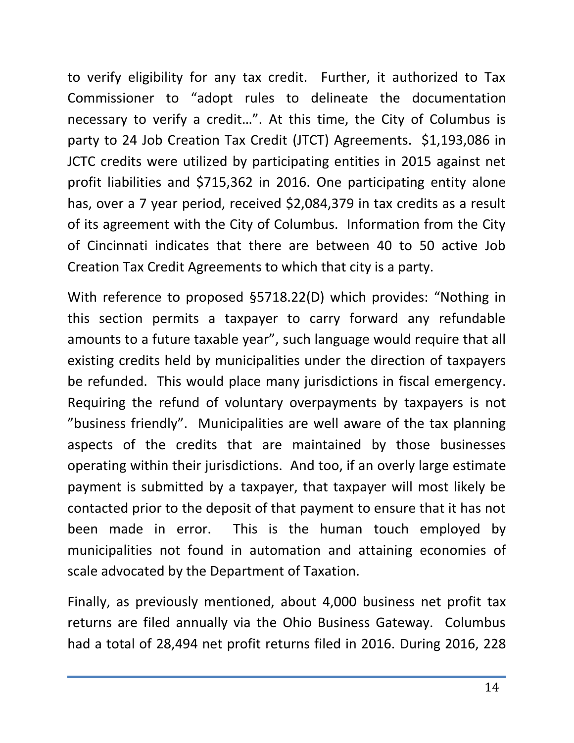to verify eligibility for any tax credit. Further, it authorized to Tax Commissioner to "adopt rules to delineate the documentation necessary to verify a credit…". At this time, the City of Columbus is party to 24 Job Creation Tax Credit (JTCT) Agreements. \$1,193,086 in JCTC credits were utilized by participating entities in 2015 against net profit liabilities and \$715,362 in 2016. One participating entity alone has, over a 7 year period, received \$2,084,379 in tax credits as a result of its agreement with the City of Columbus. Information from the City of Cincinnati indicates that there are between 40 to 50 active Job Creation Tax Credit Agreements to which that city is a party.

With reference to proposed §5718.22(D) which provides: "Nothing in this section permits a taxpayer to carry forward any refundable amounts to a future taxable year", such language would require that all existing credits held by municipalities under the direction of taxpayers be refunded. This would place many jurisdictions in fiscal emergency. Requiring the refund of voluntary overpayments by taxpayers is not "business friendly". Municipalities are well aware of the tax planning aspects of the credits that are maintained by those businesses operating within their jurisdictions. And too, if an overly large estimate payment is submitted by a taxpayer, that taxpayer will most likely be contacted prior to the deposit of that payment to ensure that it has not been made in error. This is the human touch employed by municipalities not found in automation and attaining economies of scale advocated by the Department of Taxation.

Finally, as previously mentioned, about 4,000 business net profit tax returns are filed annually via the Ohio Business Gateway. Columbus had a total of 28,494 net profit returns filed in 2016. During 2016, 228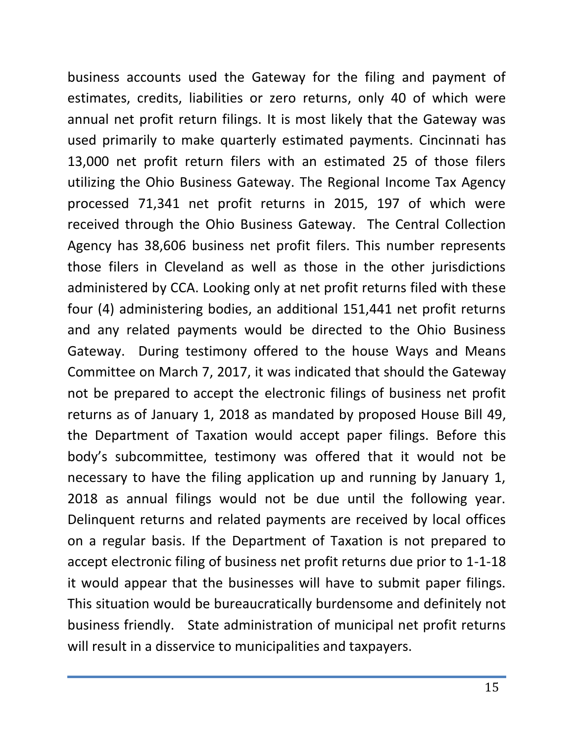business accounts used the Gateway for the filing and payment of estimates, credits, liabilities or zero returns, only 40 of which were annual net profit return filings. It is most likely that the Gateway was used primarily to make quarterly estimated payments. Cincinnati has 13,000 net profit return filers with an estimated 25 of those filers utilizing the Ohio Business Gateway. The Regional Income Tax Agency processed 71,341 net profit returns in 2015, 197 of which were received through the Ohio Business Gateway. The Central Collection Agency has 38,606 business net profit filers. This number represents those filers in Cleveland as well as those in the other jurisdictions administered by CCA. Looking only at net profit returns filed with these four (4) administering bodies, an additional 151,441 net profit returns and any related payments would be directed to the Ohio Business Gateway. During testimony offered to the house Ways and Means Committee on March 7, 2017, it was indicated that should the Gateway not be prepared to accept the electronic filings of business net profit returns as of January 1, 2018 as mandated by proposed House Bill 49, the Department of Taxation would accept paper filings. Before this body's subcommittee, testimony was offered that it would not be necessary to have the filing application up and running by January 1, 2018 as annual filings would not be due until the following year. Delinquent returns and related payments are received by local offices on a regular basis. If the Department of Taxation is not prepared to accept electronic filing of business net profit returns due prior to 1-1-18 it would appear that the businesses will have to submit paper filings. This situation would be bureaucratically burdensome and definitely not business friendly. State administration of municipal net profit returns will result in a disservice to municipalities and taxpayers.